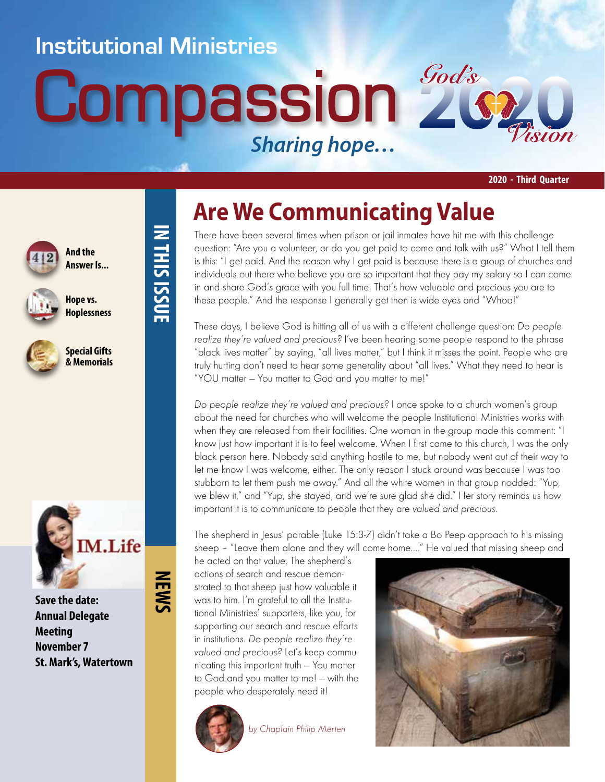### **Institutional Ministries**

**IN THIS ISSUE**

**IN THIS ISSUE** 

**NEWS**

# **Compassion 2** *Sharing hope…*



**2020 - Third Quarter**



**And the Answer Is...**



**Hope vs. Hoplessness**



**Special Gifts & Memorials**



**Save the date: Annual Delegate Meeting November 7 St. Mark's, Watertown**

# **Are We Communicating Value**

There have been several times when prison or jail inmates have hit me with this challenge question: "Are you a volunteer, or do you get paid to come and talk with us?" What I tell them is this: "I get paid. And the reason why I get paid is because there is a group of churches and individuals out there who believe you are so important that they pay my salary so I can come in and share God's grace with you full time. That's how valuable and precious you are to these people." And the response I generally get then is wide eyes and "Whoa!"

These days, I believe God is hitting all of us with a different challenge question: Do people realize they're valued and precious? I've been hearing some people respond to the phrase "black lives matter" by saying, "all lives matter," but I think it misses the point. People who are truly hurting don't need to hear some generality about "all lives." What they need to hear is "YOU matter — You matter to God and you matter to me!"

Do people realize they're valued and precious? I once spoke to a church women's group about the need for churches who will welcome the people Institutional Ministries works with when they are released from their facilities. One woman in the group made this comment: "I know just how important it is to feel welcome. When I first came to this church, I was the only black person here. Nobody said anything hostile to me, but nobody went out of their way to let me know I was welcome, either. The only reason I stuck around was because I was too stubborn to let them push me away." And all the white women in that group nodded: "Yup, we blew it," and "Yup, she stayed, and we're sure glad she did." Her story reminds us how important it is to communicate to people that they are valued and precious.

The shepherd in Jesus' parable (Luke 15:3-7) didn't take a Bo Peep approach to his missing sheep – "Leave them alone and they will come home…." He valued that missing sheep and

he acted on that value. The shepherd's actions of search and rescue demonstrated to that sheep just how valuable it was to him. I'm grateful to all the Institutional Ministries' supporters, like you, for supporting our search and rescue efforts in institutions. Do people realize they're valued and precious? Let's keep communicating this important truth — You matter to God and you matter to me! — with the people who desperately need it!



by Chaplain Philip Merten

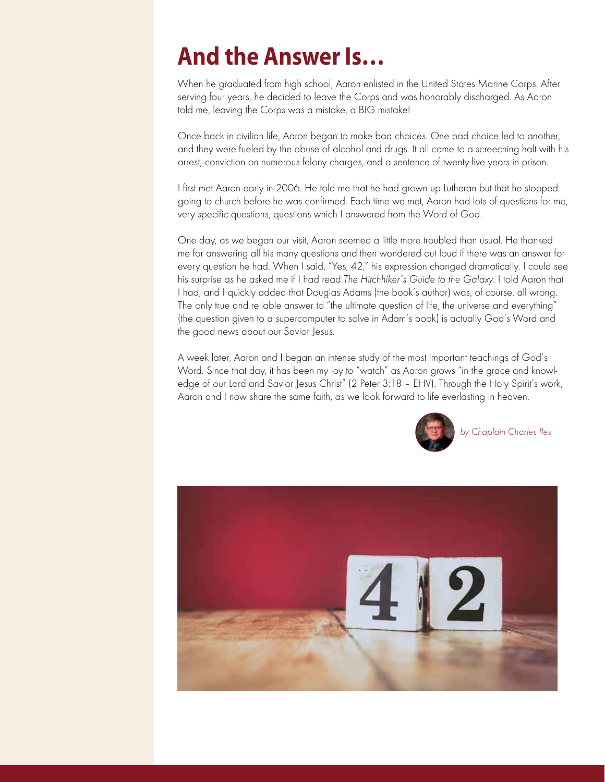## **And the Answer Is…**

When he graduated from high school, Aaron enlisted in the United States Marine Corps. After serving four years, he decided to leave the Corps and was honorably discharged. As Aaron told me, leaving the Corps was a mistake, a BIG mistake!

Once back in civilian life, Aaron began to make bad choices. One bad choice led to another, and they were fueled by the abuse of alcohol and drugs. It all came to a screeching halt with his arrest, conviction on numerous felony charges, and a sentence of twenty-five years in prison.

I first met Aaron early in 2006. He told me that he had grown up Lutheran but that he stopped going to church before he was confirmed. Each time we met, Aaron had lots of questions for me, very specific questions, questions which I answered from the Word of God.

One day, as we began our visit, Aaron seemed a little more troubled than usual. He thanked me for answering all his many questions and then wondered out loud if there was an answer for every question he had. When I said, "Yes, 42," his expression changed dramatically. I could see his surprise as he asked me if I had read The Hitchhiker's Guide to the Galaxy. I told Aaron that I had, and I quickly added that Douglas Adams (the book's author) was, of course, all wrong. The only true and reliable answer to "the ultimate question of life, the universe and everything" (the question given to a supercomputer to solve in Adam's book) is actually God's Word and the good news about our Savior Jesus.

A week later, Aaron and I began an intense study of the most important teachings of God's Word. Since that day, it has been my joy to "watch" as Aaron grows "in the grace and knowledge of our Lord and Savior Jesus Christ" (2 Peter 3:18 – EHV). Through the Holy Spirit's work, Aaron and I now share the same faith, as we look forward to life everlasting in heaven.



by Chaplain Charles Iles

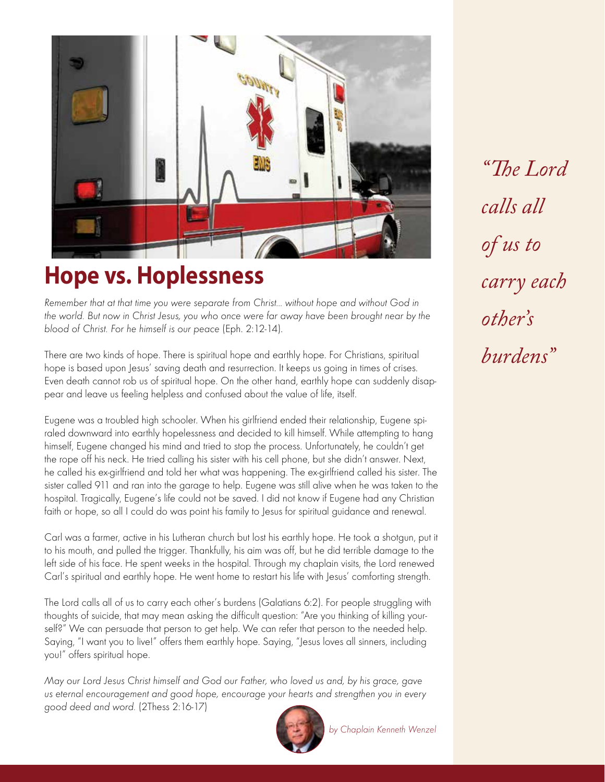

## **Hope vs. Hoplessness**

Remember that at that time you were separate from Christ… without hope and without God in the world. But now in Christ Jesus, you who once were far away have been brought near by the blood of Christ. For he himself is our peace (Eph. 2:12-14).

There are two kinds of hope. There is spiritual hope and earthly hope. For Christians, spiritual hope is based upon Jesus' saving death and resurrection. It keeps us going in times of crises. Even death cannot rob us of spiritual hope. On the other hand, earthly hope can suddenly disappear and leave us feeling helpless and confused about the value of life, itself.

Eugene was a troubled high schooler. When his girlfriend ended their relationship, Eugene spiraled downward into earthly hopelessness and decided to kill himself. While attempting to hang himself, Eugene changed his mind and tried to stop the process. Unfortunately, he couldn't get the rope off his neck. He tried calling his sister with his cell phone, but she didn't answer. Next, he called his ex-girlfriend and told her what was happening. The ex-girlfriend called his sister. The sister called 911 and ran into the garage to help. Eugene was still alive when he was taken to the hospital. Tragically, Eugene's life could not be saved. I did not know if Eugene had any Christian faith or hope, so all I could do was point his family to Jesus for spiritual guidance and renewal.

Carl was a farmer, active in his Lutheran church but lost his earthly hope. He took a shotgun, put it to his mouth, and pulled the trigger. Thankfully, his aim was off, but he did terrible damage to the left side of his face. He spent weeks in the hospital. Through my chaplain visits, the Lord renewed Carl's spiritual and earthly hope. He went home to restart his life with Jesus' comforting strength.

The Lord calls all of us to carry each other's burdens (Galatians 6:2). For people struggling with thoughts of suicide, that may mean asking the difficult question: "Are you thinking of killing yourself?" We can persuade that person to get help. We can refer that person to the needed help. Saying, "I want you to live!" offers them earthly hope. Saying, "Jesus loves all sinners, including you!" offers spiritual hope.

May our Lord Jesus Christ himself and God our Father, who loved us and, by his grace, gave us eternal encouragement and good hope, encourage your hearts and strengthen you in every good deed and word. (2Thess 2:16-17)



*"The Lord calls all of us to carry each other's burdens"*